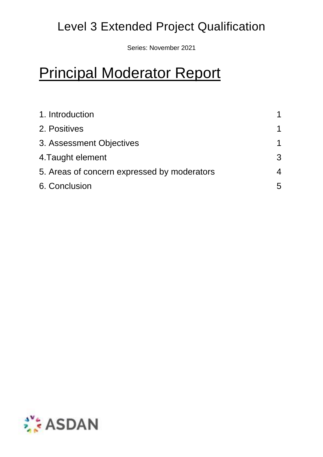## Level 3 Extended Project Qualification

Series: November 2021

# Principal Moderator Report

| 1. Introduction<br>2. Positives<br>3. Assessment Objectives<br>4. Taught element | 1<br>1<br>3 |                                             |   |
|----------------------------------------------------------------------------------|-------------|---------------------------------------------|---|
|                                                                                  |             | 5. Areas of concern expressed by moderators | 4 |
|                                                                                  |             | 6. Conclusion                               | 5 |

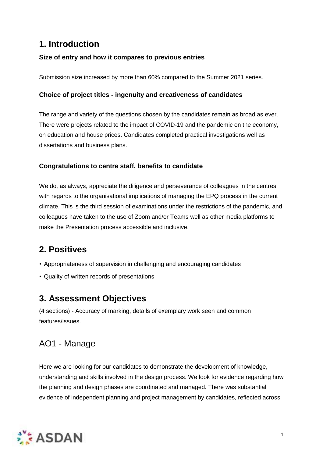## **1. Introduction**

#### **Size of entry and how it compares to previous entries**

Submission size increased by more than 60% compared to the Summer 2021 series.

#### **Choice of project titles - ingenuity and creativeness of candidates**

The range and variety of the questions chosen by the candidates remain as broad as ever. There were projects related to the impact of COVID-19 and the pandemic on the economy, on education and house prices. Candidates completed practical investigations well as dissertations and business plans.

#### **Congratulations to centre staff, benefits to candidate**

We do, as always, appreciate the diligence and perseverance of colleagues in the centres with regards to the organisational implications of managing the EPQ process in the current climate. This is the third session of examinations under the restrictions of the pandemic, and colleagues have taken to the use of Zoom and/or Teams well as other media platforms to make the Presentation process accessible and inclusive.

## **2. Positives**

- Appropriateness of supervision in challenging and encouraging candidates
- Quality of written records of presentations

## **3. Assessment Objectives**

(4 sections) - Accuracy of marking, details of exemplary work seen and common features/issues.

## AO1 - Manage

Here we are looking for our candidates to demonstrate the development of knowledge, understanding and skills involved in the design process. We look for evidence regarding how the planning and design phases are coordinated and managed. There was substantial evidence of independent planning and project management by candidates, reflected across

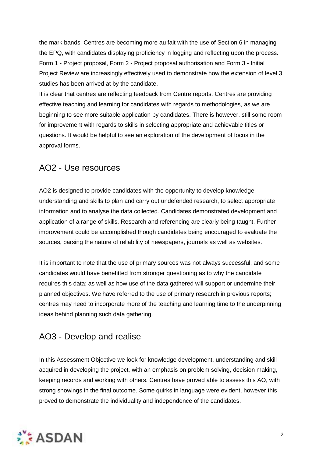the mark bands. Centres are becoming more au fait with the use of Section 6 in managing the EPQ, with candidates displaying proficiency in logging and reflecting upon the process. Form 1 - Project proposal, Form 2 - Project proposal authorisation and Form 3 - Initial Project Review are increasingly effectively used to demonstrate how the extension of level 3 studies has been arrived at by the candidate.

It is clear that centres are reflecting feedback from Centre reports. Centres are providing effective teaching and learning for candidates with regards to methodologies, as we are beginning to see more suitable application by candidates. There is however, still some room for improvement with regards to skills in selecting appropriate and achievable titles or questions. It would be helpful to see an exploration of the development of focus in the approval forms.

#### AO2 - Use resources

AO2 is designed to provide candidates with the opportunity to develop knowledge, understanding and skills to plan and carry out undefended research, to select appropriate information and to analyse the data collected. Candidates demonstrated development and application of a range of skills. Research and referencing are clearly being taught. Further improvement could be accomplished though candidates being encouraged to evaluate the sources, parsing the nature of reliability of newspapers, journals as well as websites.

It is important to note that the use of primary sources was not always successful, and some candidates would have benefitted from stronger questioning as to why the candidate requires this data; as well as how use of the data gathered will support or undermine their planned objectives. We have referred to the use of primary research in previous reports; centres may need to incorporate more of the teaching and learning time to the underpinning ideas behind planning such data gathering.

## AO3 - Develop and realise

In this Assessment Objective we look for knowledge development, understanding and skill acquired in developing the project, with an emphasis on problem solving, decision making, keeping records and working with others. Centres have proved able to assess this AO, with strong showings in the final outcome. Some quirks in language were evident, however this proved to demonstrate the individuality and independence of the candidates.

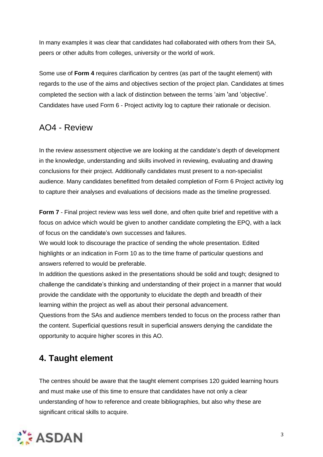In many examples it was clear that candidates had collaborated with others from their SA, peers or other adults from colleges, university or the world of work.

Some use of **Form 4** requires clarification by centres (as part of the taught element) with regards to the use of the aims and objectives section of the project plan. Candidates at times completed the section with a lack of distinction between the terms 'aim 'and 'objective'. Candidates have used Form 6 - Project activity log to capture their rationale or decision.

## AO4 - Review

In the review assessment objective we are looking at the candidate's depth of development in the knowledge, understanding and skills involved in reviewing, evaluating and drawing conclusions for their project. Additionally candidates must present to a non-specialist audience. Many candidates benefitted from detailed completion of Form 6 Project activity log to capture their analyses and evaluations of decisions made as the timeline progressed.

**Form 7** - Final project review was less well done, and often quite brief and repetitive with a focus on advice which would be given to another candidate completing the EPQ, with a lack of focus on the candidate's own successes and failures.

We would look to discourage the practice of sending the whole presentation. Edited highlights or an indication in Form 10 as to the time frame of particular questions and answers referred to would be preferable.

In addition the questions asked in the presentations should be solid and tough; designed to challenge the candidate's thinking and understanding of their project in a manner that would provide the candidate with the opportunity to elucidate the depth and breadth of their learning within the project as well as about their personal advancement.

Questions from the SAs and audience members tended to focus on the process rather than the content. Superficial questions result in superficial answers denying the candidate the opportunity to acquire higher scores in this AO.

## **4. Taught element**

The centres should be aware that the taught element comprises 120 guided learning hours and must make use of this time to ensure that candidates have not only a clear understanding of how to reference and create bibliographies, but also why these are significant critical skills to acquire.

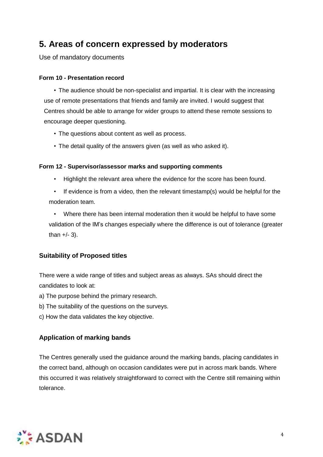## **5. Areas of concern expressed by moderators**

Use of mandatory documents

#### **Form 10 - Presentation record**

• The audience should be non-specialist and impartial. It is clear with the increasing use of remote presentations that friends and family are invited. I would suggest that Centres should be able to arrange for wider groups to attend these remote sessions to encourage deeper questioning.

- The questions about content as well as process.
- The detail quality of the answers given (as well as who asked it).

#### **Form 12 - Supervisor/assessor marks and supporting comments**

- Highlight the relevant area where the evidence for the score has been found.
- If evidence is from a video, then the relevant timestamp(s) would be helpful for the moderation team.

• Where there has been internal moderation then it would be helpful to have some validation of the IM's changes especially where the difference is out of tolerance (greater than  $+/- 3$ ).

#### **Suitability of Proposed titles**

There were a wide range of titles and subject areas as always. SAs should direct the candidates to look at:

- a) The purpose behind the primary research.
- b) The suitability of the questions on the surveys.
- c) How the data validates the key objective.

#### **Application of marking bands**

The Centres generally used the guidance around the marking bands, placing candidates in the correct band, although on occasion candidates were put in across mark bands. Where this occurred it was relatively straightforward to correct with the Centre still remaining within tolerance.